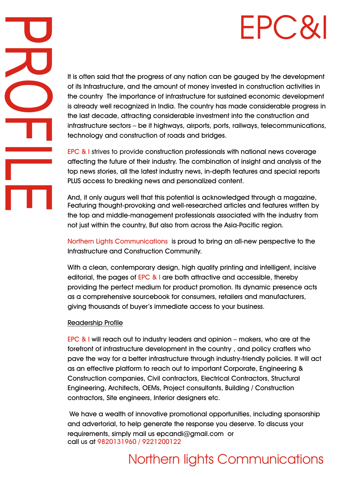# EPC&

It is often said that the progress of any nation can be gauged by the development of its Infrastructure, and the amount of money invested in construction activities in the country The importance of infrastructure for sustained economic development is already well recognized in India. The country has made considerable progress in the last decade, attracting considerable investment into the construction and infrastructure sectors – be it highways, airports, ports, railways, telecommunications, technology and construction of roads and bridges.

EPC & I strives to provide construction professionals with national news coverage affecting the future of their industry. The combination of insight and analysis of the top news stories, all the latest industry news, in-depth features and special reports PLUS access to breaking news and personalized content.

And, it only augurs well that this potential is acknowledged through a magazine, Featuring thought-provoking and well-researched articles and features written by the top and middle-management professionals associated with the industry from not just within the country, But also from across the Asia-Pacific region.

Northern Lights Communications is proud to bring an all-new perspective to the Infrastructure and Construction Community.

With a clean, contemporary design, high quality printing and intelligent, incisive editorial, the pages of EPC & I are both attractive and accessible, thereby providing the perfect medium for product promotion. Its dynamic presence acts as a comprehensive sourcebook for consumers, retailers and manufacturers, giving thousands of buyer's immediate access to your business.

## Readership Profile

**PO** 

 $\overline{\mathcal{L}}$ 

O

 $\mathbf T$ 

<u>I</u><br>International Control of the Control of the Control of the Control of the Control of the Control of the Control of the Control of the Control of the Control of the Control of the Control of the Control of the Control o

**Limited** 

E

EPC  $\&$  I will reach out to industry leaders and opinion – makers, who are at the forefront of infrastructure development in the country , and policy crafters who pave the way for a better infrastructure through industry-friendly policies. It will act as an effective platform to reach out to important Corporate, Engineering & Construction companies, Civil contractors, Electrical Contractors, Structural Engineering, Architects, OEMs, Project consultants, Building / Construction contractors, Site engineers, Interior designers etc.

 We have a wealth of innovative promotional opportunities, including sponsorship and advertorial, to help generate the response you deserve. To discuss your requirements, simply mail us epcandi@gmail.com or call at 9820131960 / 9221200122 us

# Northern lights Communications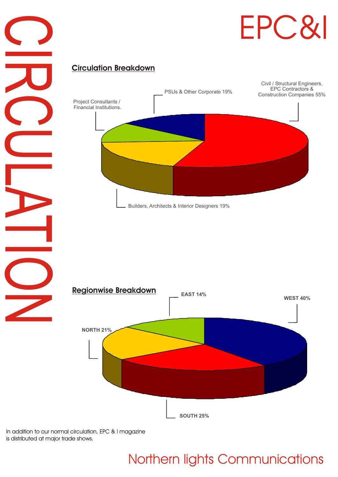



## **Circulation Breakdown**





In addition to our normal circulation, EPC & I magazine is distributed at major trade shows.

# Northern lights Communications